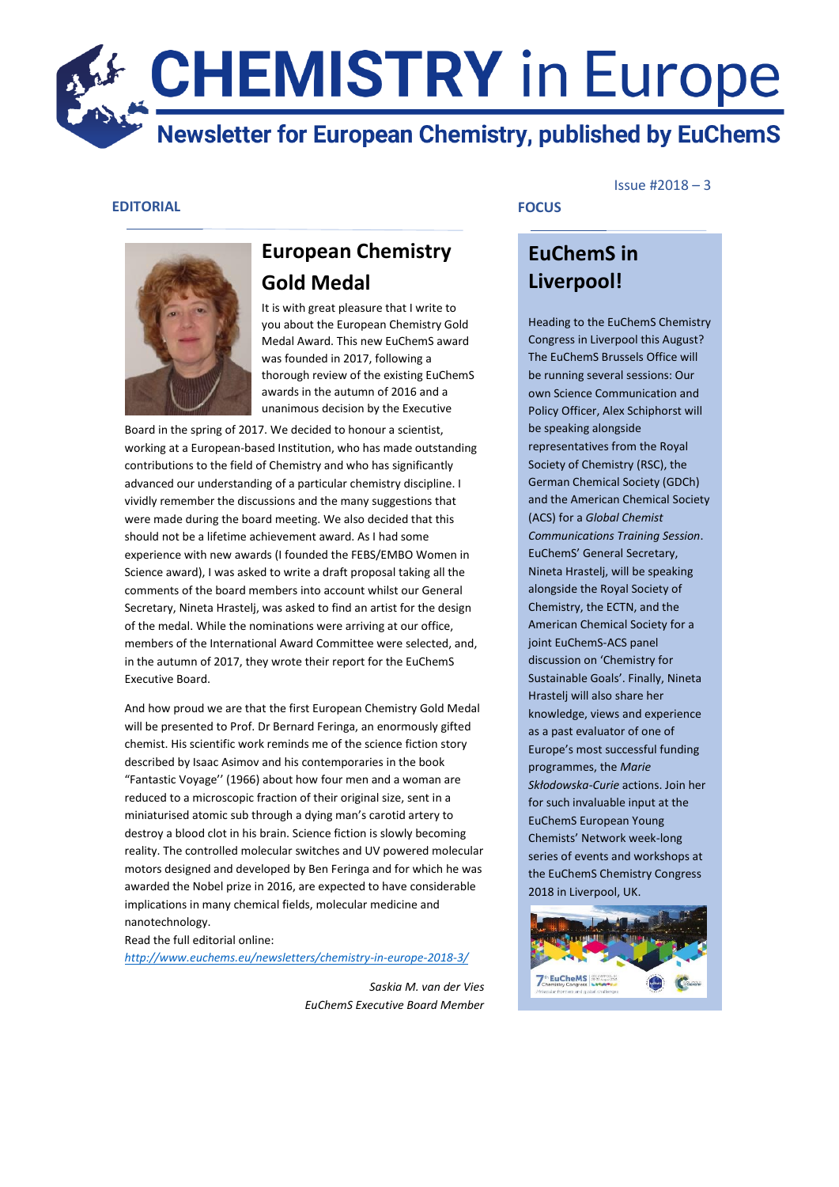**CHEMISTRY** in Europe **Newsletter for European Chemistry, published by EuChemS** 

### **EDITORIAL**



# **European Chemistry Gold Medal**

It is with great pleasure that I write to you about the European Chemistry Gold Medal Award. This new EuChemS award was founded in 2017, following a thorough review of the existing EuChemS awards in the autumn of 2016 and a unanimous decision by the Executive

Board in the spring of 2017. We decided to honour a scientist, working at a European-based Institution, who has made outstanding contributions to the field of Chemistry and who has significantly advanced our understanding of a particular chemistry discipline. I vividly remember the discussions and the many suggestions that were made during the board meeting. We also decided that this should not be a lifetime achievement award. As I had some experience with new awards (I founded the FEBS/EMBO Women in Science award), I was asked to write a draft proposal taking all the comments of the board members into account whilst our General Secretary, Nineta Hrastelj, was asked to find an artist for the design of the medal. While the nominations were arriving at our office, members of the International Award Committee were selected, and, in the autumn of 2017, they wrote their report for the EuChemS Executive Board.

And how proud we are that the first European Chemistry Gold Medal will be presented to Prof. Dr Bernard Feringa, an enormously gifted chemist. His scientific work reminds me of the science fiction story described by Isaac Asimov and his contemporaries in the book "Fantastic Voyage'' (1966) about how four men and a woman are reduced to a microscopic fraction of their original size, sent in a miniaturised atomic sub through a dying man's carotid artery to destroy a blood clot in his brain. Science fiction is slowly becoming reality. The controlled molecular switches and UV powered molecular motors designed and developed by Ben Feringa and for which he was awarded the Nobel prize in 2016, are expected to have considerable implications in many chemical fields, molecular medicine and nanotechnology.

Read the full editorial online:

*<http://www.euchems.eu/newsletters/chemistry-in-europe-2018-3/>*

*Saskia M. van der Vies EuChemS Executive Board Member*

#### Issue #2018 – 3

### **FOCUS**

## **EuChemS in Liverpool!**

Heading to the EuChemS Chemistry Congress in Liverpool this August? The EuChemS Brussels Office will be running several sessions: Our own Science Communication and Policy Officer, Alex Schiphorst will be speaking alongside representatives from the Royal Society of Chemistry (RSC), the German Chemical Society (GDCh) and the American Chemical Society (ACS) for a *Global Chemist Communications Training Session*. EuChemS' General Secretary, Nineta Hrastelj, will be speaking alongside the Royal Society of Chemistry, the ECTN, and the American Chemical Society for a joint EuChemS-ACS panel discussion on 'Chemistry for Sustainable Goals'. Finally, Nineta Hrastelj will also share her knowledge, views and experience as a past evaluator of one of Europe's most successful funding programmes, the *Marie Skłodowska-Curie* actions. Join her for such invaluable input at the EuChemS European Young Chemists' Network week-long series of events and workshops at the EuChemS Chemistry Congress 2018 in Liverpool, UK.

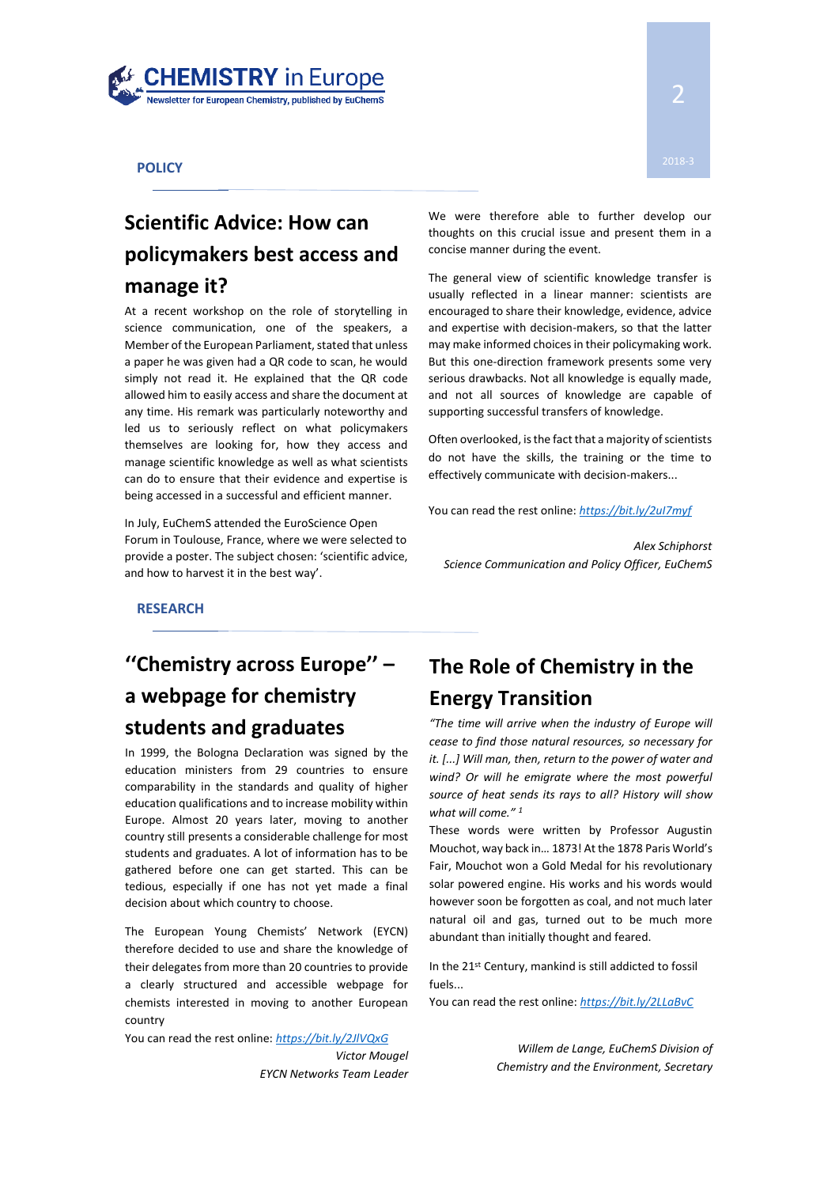

#### **POLICY**

# **Scientific Advice: How can policymakers best access and manage it?**

At a recent workshop on the role of storytelling in science communication, one of the speakers, a Member of the European Parliament, stated that unless a paper he was given had a QR code to scan, he would simply not read it. He explained that the QR code allowed him to easily access and share the document at any time. His remark was particularly noteworthy and led us to seriously reflect on what policymakers themselves are looking for, how they access and manage scientific knowledge as well as what scientists can do to ensure that their evidence and expertise is being accessed in a successful and efficient manner.

In July, EuChemS attended the EuroScience Open Forum in Toulouse, France, where we were selected to provide a poster. The subject chosen: 'scientific advice, and how to harvest it in the best way'.

We were therefore able to further develop our thoughts on this crucial issue and present them in a concise manner during the event.

The general view of scientific knowledge transfer is usually reflected in a linear manner: scientists are encouraged to share their knowledge, evidence, advice and expertise with decision-makers, so that the latter may make informed choices in their policymaking work. But this one-direction framework presents some very serious drawbacks. Not all knowledge is equally made, and not all sources of knowledge are capable of supporting successful transfers of knowledge.

Often overlooked, is the fact that a majority of scientists do not have the skills, the training or the time to effectively communicate with decision-makers...

You can read the rest online: *<https://bit.ly/2uI7myf>*

*Alex Schiphorst Science Communication and Policy Officer, EuChemS*

#### **RESEARCH**

# **''Chemistry across Europe'' – a webpage for chemistry students and graduates**

In 1999, the Bologna Declaration was signed by the education ministers from 29 countries to ensure comparability in the standards and quality of higher education qualifications and to increase mobility within Europe. Almost 20 years later, moving to another country still presents a considerable challenge for most students and graduates. A lot of information has to be gathered before one can get started. This can be tedious, especially if one has not yet made a final decision about which country to choose.

The European Young Chemists' Network (EYCN) therefore decided to use and share the knowledge of their delegates from more than 20 countries to provide a clearly structured and accessible webpage for chemists interested in moving to another European country

You can read the rest online: *<https://bit.ly/2JlVQxG>*

*Victor Mougel EYCN Networks Team Leader*

# **The Role of Chemistry in the Energy Transition**

*"The time will arrive when the industry of Europe will cease to find those natural resources, so necessary for it. [...] Will man, then, return to the power of water and wind? Or will he emigrate where the most powerful source of heat sends its rays to all? History will show what will come." <sup>1</sup>*

These words were written by Professor Augustin Mouchot, way back in… 1873! At the 1878 Paris World's Fair, Mouchot won a Gold Medal for his revolutionary solar powered engine. His works and his words would however soon be forgotten as coal, and not much later natural oil and gas, turned out to be much more abundant than initially thought and feared.

In the 21st Century, mankind is still addicted to fossil fuels...

You can read the rest online: *<https://bit.ly/2LLaBvC>*

 *Willem de Lange, EuChemS Division of Chemistry and the Environment, Secretary*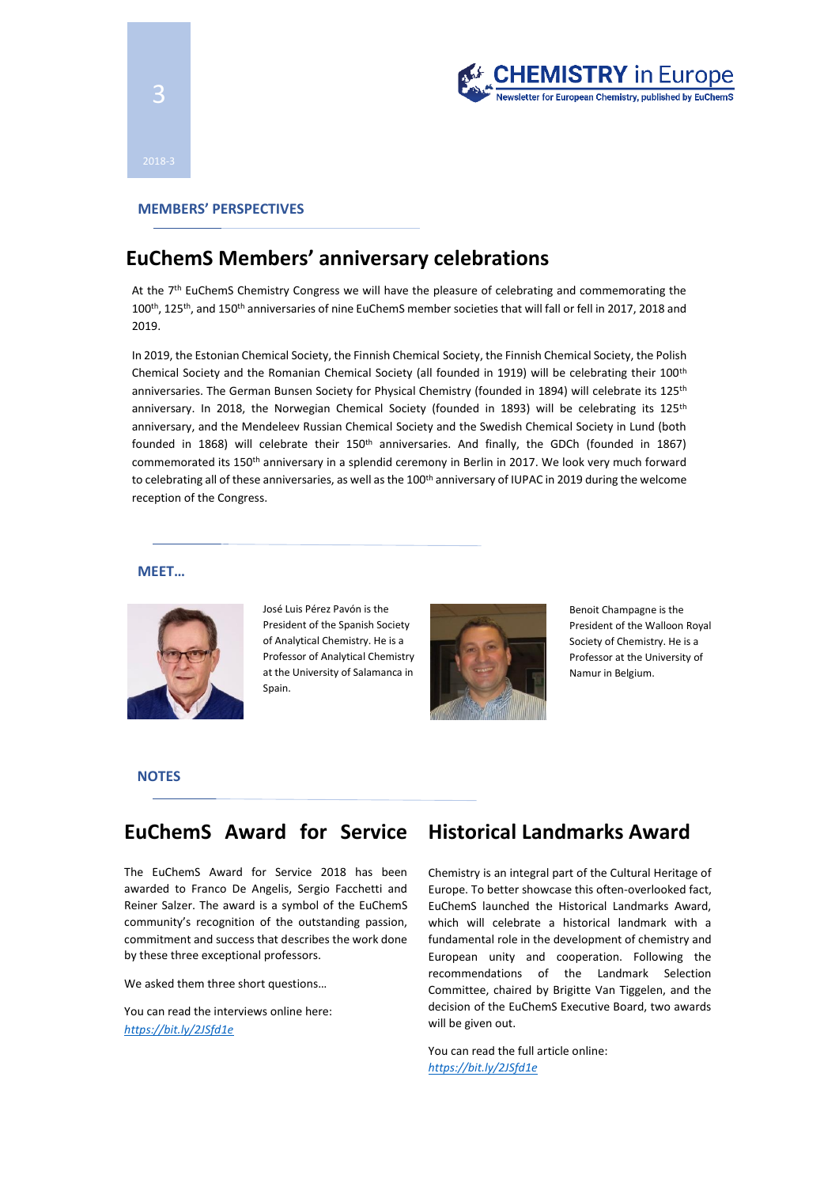

#### **MEMBERS' PERSPECTIVES**

## **EuChemS Members' anniversary celebrations**

At the 7<sup>th</sup> EuChemS Chemistry Congress we will have the pleasure of celebrating and commemorating the 100th, 125th, and 150th anniversaries of nine EuChemS member societies that will fall or fell in 2017, 2018 and 2019.

In 2019, the Estonian Chemical Society, the Finnish Chemical Society, the Finnish Chemical Society, the Polish Chemical Society and the Romanian Chemical Society (all founded in 1919) will be celebrating their 100th anniversaries. The German Bunsen Society for Physical Chemistry (founded in 1894) will celebrate its 125<sup>th</sup> anniversary. In 2018, the Norwegian Chemical Society (founded in 1893) will be celebrating its 125<sup>th</sup> anniversary, and the Mendeleev Russian Chemical Society and the Swedish Chemical Society in Lund (both founded in 1868) will celebrate their 150<sup>th</sup> anniversaries. And finally, the GDCh (founded in 1867) commemorated its 150th anniversary in a splendid ceremony in Berlin in 2017. We look very much forward to celebrating all of these anniversaries, as well as the 100<sup>th</sup> anniversary of IUPAC in 2019 during the welcome reception of the Congress.

#### **MEET…**



José Luis Pérez Pavón is the President of the Spanish Society of Analytical Chemistry. He is a Professor of Analytical Chemistry at the University of Salamanca in Spain.



Benoit Champagne is the President of the Walloon Royal Society of Chemistry. He is a Professor at the University of Namur in Belgium.

#### **NOTES**

#### **EuChemS Award for Service Historical Landmarks Award**

The EuChemS Award for Service 2018 has been awarded to Franco De Angelis, Sergio Facchetti and Reiner Salzer. The award is a symbol of the EuChemS community's recognition of the outstanding passion, commitment and success that describes the work done by these three exceptional professors.

We asked them three short questions…

You can read the interviews online here: *<https://bit.ly/2JSfd1e>*

### Chemistry is an integral part of the Cultural Heritage of Europe. To better showcase this often-overlooked fact, EuChemS launched the Historical Landmarks Award, which will celebrate a historical landmark with a fundamental role in the development of chemistry and European unity and cooperation. Following the recommendations of the Landmark Selection Committee, chaired by Brigitte Van Tiggelen, and the decision of the EuChemS Executive Board, two awards will be given out.

You can read the full article online: *<https://bit.ly/2JSfd1e>*